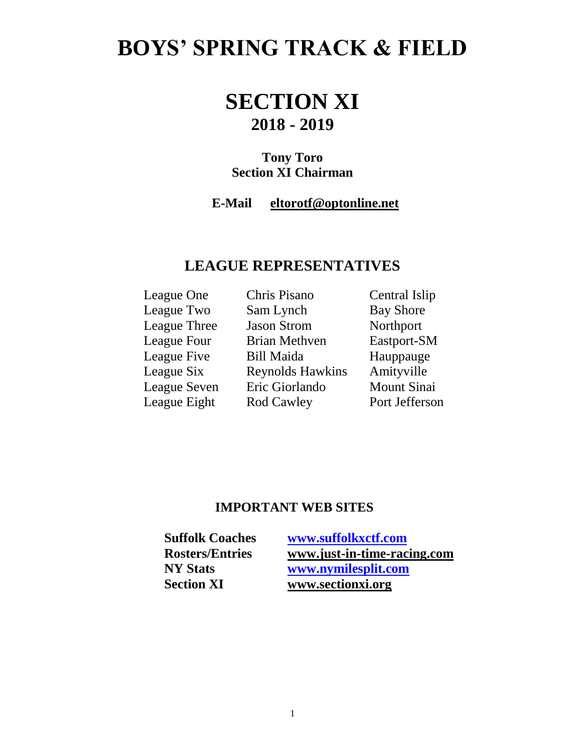# **BOYS' SPRING TRACK & FIELD**

# **SECTION XI 2018 - 2019**

## **Tony Toro Section XI Chairman**

 **E-Mail eltorotf@optonline.net**

## **LEAGUE REPRESENTATIVES**

| League One   | Chris Pisano            | Central Islip      |
|--------------|-------------------------|--------------------|
| League Two   | Sam Lynch               | <b>Bay Shore</b>   |
| League Three | <b>Jason Strom</b>      | Northport          |
| League Four  | <b>Brian Methven</b>    | Eastport-SM        |
| League Five  | <b>Bill Maida</b>       | Hauppauge          |
| League Six   | <b>Reynolds Hawkins</b> | Amityville         |
| League Seven | Eric Giorlando          | <b>Mount Sinai</b> |
| League Eight | Rod Cawley              | Port Jefferson     |

## **IMPORTANT WEB SITES**

**Suffolk Coaches [www.suffolkxctf.com](http://www.suffolkxctf.com/) Rosters/Entries [www.just-in-time-racing.com](http://www.just-in-time-racing.com/) NY Stats [www.nymilesplit.com](http://www.nymilesplit.com/) Section XI [www.sectionxi.org](http://www.sectionxi.org/)**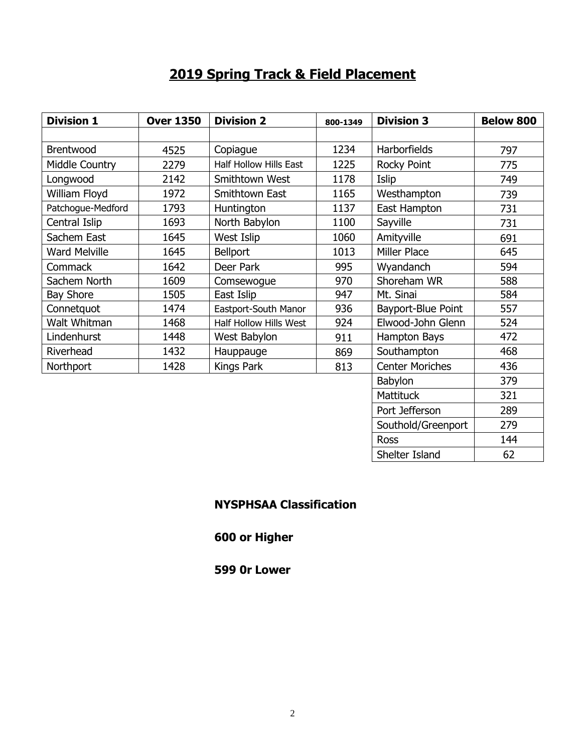## **2019 Spring Track & Field Placement**

| <b>Division 1</b>    | <b>Over 1350</b> | <b>Division 2</b>      | 800-1349 | <b>Division 3</b>      | <b>Below 800</b> |
|----------------------|------------------|------------------------|----------|------------------------|------------------|
|                      |                  |                        |          |                        |                  |
| <b>Brentwood</b>     | 4525             | Copiague               | 1234     | Harborfields           | 797              |
| Middle Country       | 2279             | Half Hollow Hills East | 1225     | Rocky Point            | 775              |
| Longwood             | 2142             | Smithtown West         | 1178     | Islip                  | 749              |
| William Floyd        | 1972             | Smithtown East         | 1165     | Westhampton            | 739              |
| Patchogue-Medford    | 1793             | Huntington             | 1137     | East Hampton           | 731              |
| Central Islip        | 1693             | North Babylon          | 1100     | Sayville               | 731              |
| Sachem East          | 1645             | West Islip             | 1060     | Amityville             | 691              |
| <b>Ward Melville</b> | 1645             | <b>Bellport</b>        | 1013     | Miller Place           | 645              |
| Commack              | 1642             | Deer Park              | 995      | Wyandanch              | 594              |
| Sachem North         | 1609             | Comsewogue             | 970      | Shoreham WR            | 588              |
| <b>Bay Shore</b>     | 1505             | East Islip             | 947      | Mt. Sinai              | 584              |
| Connetquot           | 1474             | Eastport-South Manor   | 936      | Bayport-Blue Point     | 557              |
| Walt Whitman         | 1468             | Half Hollow Hills West | 924      | Elwood-John Glenn      | 524              |
| Lindenhurst          | 1448             | West Babylon           | 911      | Hampton Bays           | 472              |
| Riverhead            | 1432             | Hauppauge              | 869      | Southampton            | 468              |
| Northport            | 1428             | Kings Park             | 813      | <b>Center Moriches</b> | 436              |
|                      |                  |                        |          | Babylon                | 379              |
|                      |                  |                        |          | <b>Mattituck</b>       | 321              |
|                      |                  |                        |          | Port Jefferson         | 289              |
|                      |                  |                        |          | Southold/Greenport     | 279              |
|                      |                  |                        |          | <b>Ross</b>            | 144              |
|                      |                  |                        |          | Shelter Island         | 62               |

## **NYSPHSAA Classification**

## **600 or Higher**

### **599 0r Lower**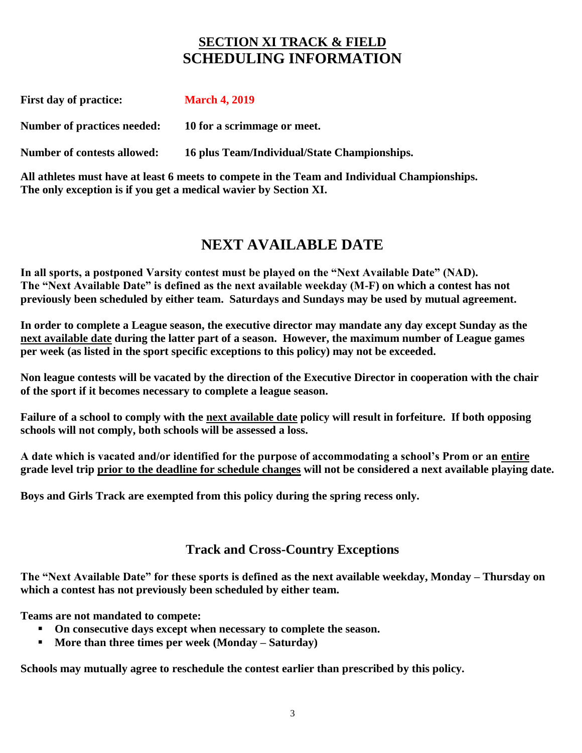## **SECTION XI TRACK & FIELD SCHEDULING INFORMATION**

| <b>First day of practice:</b>      | <b>March 4, 2019</b>                         |
|------------------------------------|----------------------------------------------|
| <b>Number of practices needed:</b> | 10 for a scrimmage or meet.                  |
| <b>Number of contests allowed:</b> | 16 plus Team/Individual/State Championships. |

**All athletes must have at least 6 meets to compete in the Team and Individual Championships. The only exception is if you get a medical wavier by Section XI.**

## **NEXT AVAILABLE DATE**

**In all sports, a postponed Varsity contest must be played on the "Next Available Date" (NAD). The "Next Available Date" is defined as the next available weekday (M-F) on which a contest has not previously been scheduled by either team. Saturdays and Sundays may be used by mutual agreement.** 

**In order to complete a League season, the executive director may mandate any day except Sunday as the next available date during the latter part of a season. However, the maximum number of League games per week (as listed in the sport specific exceptions to this policy) may not be exceeded.**

**Non league contests will be vacated by the direction of the Executive Director in cooperation with the chair of the sport if it becomes necessary to complete a league season.**

**Failure of a school to comply with the next available date policy will result in forfeiture. If both opposing schools will not comply, both schools will be assessed a loss.**

**A date which is vacated and/or identified for the purpose of accommodating a school's Prom or an entire grade level trip prior to the deadline for schedule changes will not be considered a next available playing date.**

**Boys and Girls Track are exempted from this policy during the spring recess only.**

## **Track and Cross-Country Exceptions**

**The "Next Available Date" for these sports is defined as the next available weekday, Monday – Thursday on which a contest has not previously been scheduled by either team.**

**Teams are not mandated to compete:**

- **On consecutive days except when necessary to complete the season.**
- **More than three times per week (Monday – Saturday)**

**Schools may mutually agree to reschedule the contest earlier than prescribed by this policy.**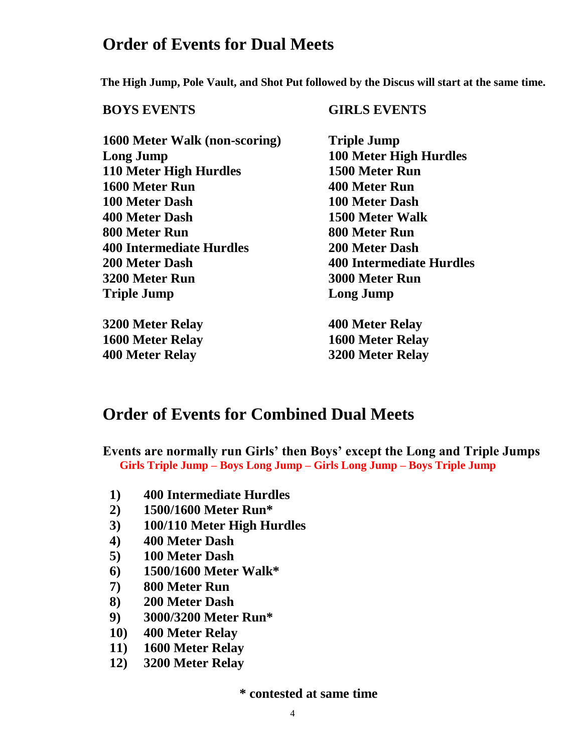## **Order of Events for Dual Meets**

**The High Jump, Pole Vault, and Shot Put followed by the Discus will start at the same time.**

### **BOYS EVENTS GIRLS EVENTS**

| 1600 Meter Walk (non-scoring)   |
|---------------------------------|
| <b>Long Jump</b>                |
| 110 Meter High Hurdles          |
| 1600 Meter Run                  |
| 100 Meter Dash                  |
| 400 Meter Dash                  |
| 800 Meter Run                   |
| <b>400 Intermediate Hurdles</b> |
| 200 Meter Dash                  |
| 3200 Meter Run                  |
| <b>Triple Jump</b>              |

**3200 Meter Relay 400 Meter Relay 1600 Meter Relay 1600 Meter Relay 400 Meter Relay 3200 Meter Relay**

**1600 Triple Jump 100 Meter High Hurdles 1500 Meter Run 1600 Meter Run 400 Meter Run 100 Meter Dash 100 Meter Dash 400 Meter Dash 1500 Meter Walk 800 Meter Run 800 Meter Run 400 Intermediate Hurdles 200 Meter Dash 200 Meter Dash 400 Intermediate Hurdles 3200 Meter Run 3000 Meter Run Long Jump** 

## **Order of Events for Combined Dual Meets**

**Events are normally run Girls' then Boys' except the Long and Triple Jumps Girls Triple Jump – Boys Long Jump – Girls Long Jump – Boys Triple Jump**

- **1) 400 Intermediate Hurdles**
- **2) 1500/1600 Meter Run\***
- **3) 100/110 Meter High Hurdles**
- **4) 400 Meter Dash**
- **5) 100 Meter Dash**
- **6) 1500/1600 Meter Walk\***
- **7) 800 Meter Run**
- **8) 200 Meter Dash**
- **9) 3000/3200 Meter Run\***
- **10) 400 Meter Relay**
- **11) 1600 Meter Relay**
- **12) 3200 Meter Relay**

**\* contested at same time**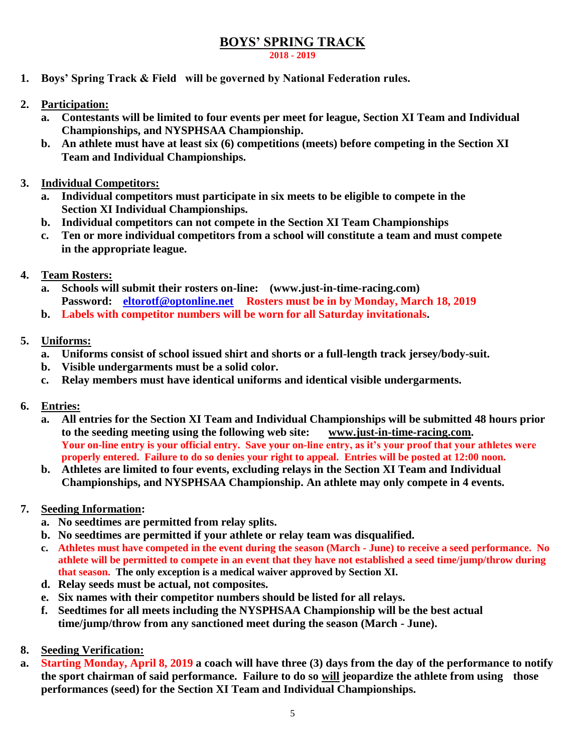## **BOYS' SPRING TRACK**

**2018 - 2019**

- **1. Boys' Spring Track & Field will be governed by National Federation rules.**
- **2. Participation:**
	- **a. Contestants will be limited to four events per meet for league, Section XI Team and Individual Championships, and NYSPHSAA Championship.**
	- **b. An athlete must have at least six (6) competitions (meets) before competing in the Section XI Team and Individual Championships.**
- **3. Individual Competitors:**
	- **a. Individual competitors must participate in six meets to be eligible to compete in the Section XI Individual Championships.**
	- **b. Individual competitors can not compete in the Section XI Team Championships**
	- **c. Ten or more individual competitors from a school will constitute a team and must compete in the appropriate league.**
- **4. Team Rosters:**
	- **a. Schools will submit their rosters on-line: (www.just-in-time-racing.com) Password: [eltorotf@optonline.net](mailto:eltorotf@optonline.net) Rosters must be in by Monday, March 18, 2019**
	- **b. Labels with competitor numbers will be worn for all Saturday invitationals.**
- **5. Uniforms:**
	- **a. Uniforms consist of school issued shirt and shorts or a full-length track jersey/body-suit.**
	- **b. Visible undergarments must be a solid color.**
	- **c. Relay members must have identical uniforms and identical visible undergarments.**
- **6. Entries:**
	- **a. All entries for the Section XI Team and Individual Championships will be submitted 48 hours prior to the seeding meeting using the following web site: [www.just-in-time-racing.com.](http://www.just-in-time-racing.com/) Your on-line entry is your official entry. Save your on-line entry, as it's your proof that your athletes were properly entered. Failure to do so denies your right to appeal. Entries will be posted at 12:00 noon.**
	- **b. Athletes are limited to four events, excluding relays in the Section XI Team and Individual Championships, and NYSPHSAA Championship. An athlete may only compete in 4 events.**
- **7. Seeding Information:**
	- **a. No seedtimes are permitted from relay splits.**
	- **b. No seedtimes are permitted if your athlete or relay team was disqualified.**
	- **c. Athletes must have competed in the event during the season (March - June) to receive a seed performance. No athlete will be permitted to compete in an event that they have not established a seed time/jump/throw during that season. The only exception is a medical waiver approved by Section XI.**
	- **d. Relay seeds must be actual, not composites.**
	- **e. Six names with their competitor numbers should be listed for all relays.**
	- **f. Seedtimes for all meets including the NYSPHSAA Championship will be the best actual time/jump/throw from any sanctioned meet during the season (March - June).**
- **8. Seeding Verification:**
- **a. Starting Monday, April 8, 2019 a coach will have three (3) days from the day of the performance to notify the sport chairman of said performance. Failure to do so will jeopardize the athlete from using those performances (seed) for the Section XI Team and Individual Championships.**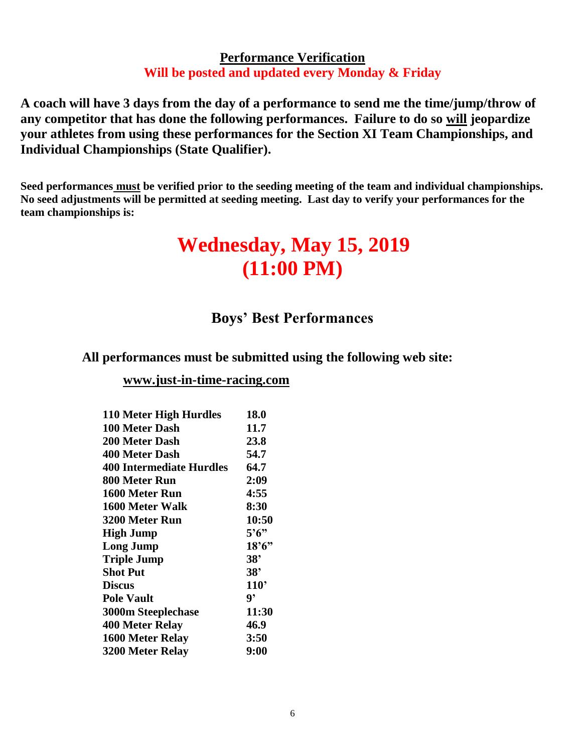## **Performance Verification Will be posted and updated every Monday & Friday**

**A coach will have 3 days from the day of a performance to send me the time/jump/throw of any competitor that has done the following performances. Failure to do so will jeopardize your athletes from using these performances for the Section XI Team Championships, and Individual Championships (State Qualifier).** 

**Seed performances must be verified prior to the seeding meeting of the team and individual championships. No seed adjustments will be permitted at seeding meeting. Last day to verify your performances for the team championships is:**

# **Wednesday, May 15, 2019 (11:00 PM)**

## **Boys' Best Performances**

**All performances must be submitted using the following web site:**

**[www.just-in-time-racing.com](http://www.just-in-time-racing.com/)**

| 110 Meter High Hurdles    | 18.0                 |
|---------------------------|----------------------|
| 100 Meter Dash            | 11.7                 |
| <b>200 Meter Dash</b>     | 23.8                 |
| <b>400 Meter Dash</b>     | 54.7                 |
| 400 Intermediate Hurdles  | 64.7                 |
| 800 Meter Run             | 2:09                 |
| 1600 Meter Run            | 4:55                 |
| 1600 Meter Walk           | 8:30                 |
| 3200 Meter Run            | 10:50                |
| <b>High Jump</b>          | $5^{\circ}6^{\circ}$ |
| <b>Long Jump</b>          | 18'6"                |
| <b>Triple Jump</b>        | 38'                  |
| <b>Shot Put</b>           | 38'                  |
| <b>Discus</b>             | 110'                 |
| <b>Pole Vault</b>         | 9,                   |
| <b>3000m Steeplechase</b> | 11:30                |
| 400 Meter Relay           | 46.9                 |
| 1600 Meter Relay          | <b>3:50</b>          |
| 3200 Meter Relay          | 9:00                 |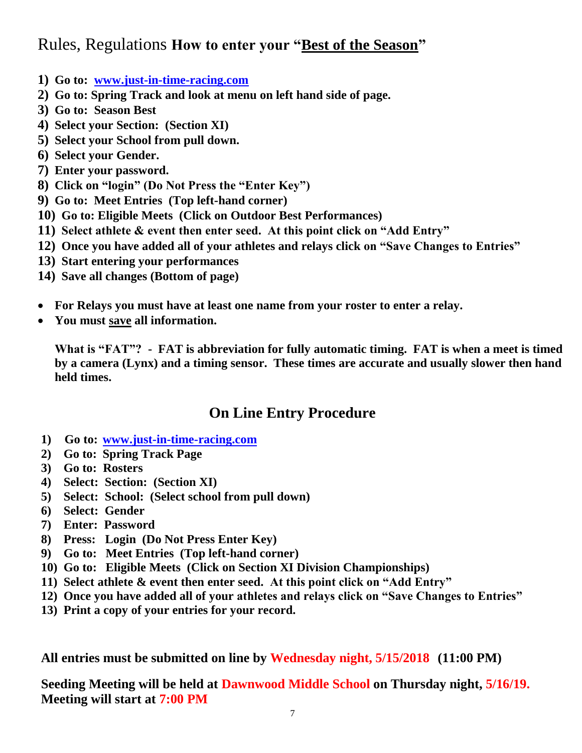## Rules, Regulations **How to enter your "Best of the Season"**

- **1) Go to: [www.just-in-time-racing.com](http://www.just-in-time-racing.com/)**
- **2) Go to: Spring Track and look at menu on left hand side of page.**
- **3) Go to: Season Best**
- **4) Select your Section: (Section XI)**
- **5) Select your School from pull down.**
- **6) Select your Gender.**
- **7) Enter your password.**
- **8) Click on "login" (Do Not Press the "Enter Key")**
- **9) Go to: Meet Entries (Top left-hand corner)**
- **10) Go to: Eligible Meets (Click on Outdoor Best Performances)**
- **11) Select athlete & event then enter seed. At this point click on "Add Entry"**
- **12) Once you have added all of your athletes and relays click on "Save Changes to Entries"**
- **13) Start entering your performances**
- **14) Save all changes (Bottom of page)**
- **For Relays you must have at least one name from your roster to enter a relay.**
- **You must save all information.**

**What is "FAT"? - FAT is abbreviation for fully automatic timing. FAT is when a meet is timed by a camera (Lynx) and a timing sensor. These times are accurate and usually slower then hand held times.**

## **On Line Entry Procedure**

- **1) Go to: [www.just-in-time-racing.com](http://www.just-in-time-racing.com/)**
- **2) Go to: Spring Track Page**
- **3) Go to: Rosters**
- **4) Select: Section: (Section XI)**
- **5) Select: School: (Select school from pull down)**
- **6) Select: Gender**
- **7) Enter: Password**
- **8) Press: Login (Do Not Press Enter Key)**
- **9) Go to: Meet Entries (Top left-hand corner)**
- **10) Go to: Eligible Meets (Click on Section XI Division Championships)**
- **11) Select athlete & event then enter seed. At this point click on "Add Entry"**
- **12) Once you have added all of your athletes and relays click on "Save Changes to Entries"**
- **13) Print a copy of your entries for your record.**

**All entries must be submitted on line by Wednesday night, 5/15/2018 (11:00 PM)**

**Seeding Meeting will be held at Dawnwood Middle School on Thursday night, 5/16/19. Meeting will start at 7:00 PM**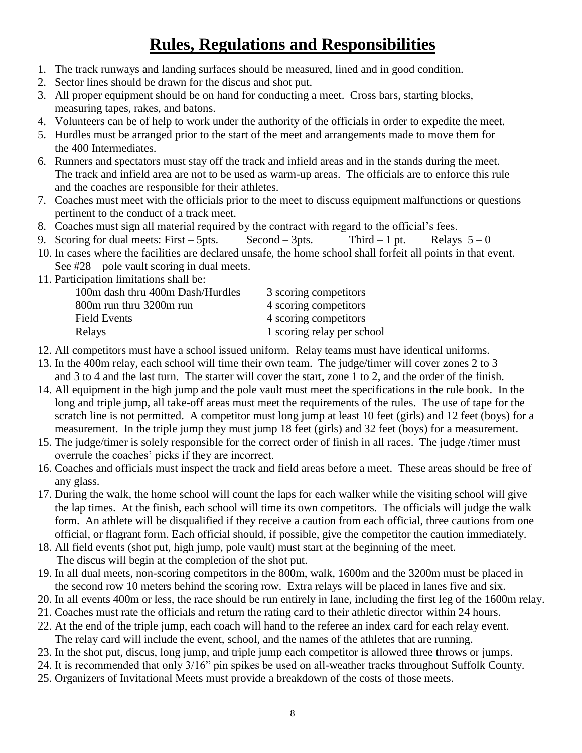# **Rules, Regulations and Responsibilities**

- 1. The track runways and landing surfaces should be measured, lined and in good condition.
- 2. Sector lines should be drawn for the discus and shot put.
- 3. All proper equipment should be on hand for conducting a meet. Cross bars, starting blocks, measuring tapes, rakes, and batons.
- 4. Volunteers can be of help to work under the authority of the officials in order to expedite the meet.
- 5. Hurdles must be arranged prior to the start of the meet and arrangements made to move them for the 400 Intermediates.
- 6. Runners and spectators must stay off the track and infield areas and in the stands during the meet. The track and infield area are not to be used as warm-up areas. The officials are to enforce this rule and the coaches are responsible for their athletes.
- 7. Coaches must meet with the officials prior to the meet to discuss equipment malfunctions or questions pertinent to the conduct of a track meet.
- 8. Coaches must sign all material required by the contract with regard to the official's fees.
- 9. Scoring for dual meets: First 5pts. Second 3pts. Third 1 pt. Relays  $5 0$
- 10. In cases where the facilities are declared unsafe, the home school shall forfeit all points in that event. See #28 – pole vault scoring in dual meets.
- 11. Participation limitations shall be:

| 100m dash thru 400m Dash/Hurdles | 3 scoring competitors      |
|----------------------------------|----------------------------|
| 800m run thru 3200m run          | 4 scoring competitors      |
| Field Events                     | 4 scoring competitors      |
| Relays                           | 1 scoring relay per school |

- 12. All competitors must have a school issued uniform. Relay teams must have identical uniforms.
- 13. In the 400m relay, each school will time their own team. The judge/timer will cover zones 2 to 3 and 3 to 4 and the last turn. The starter will cover the start, zone 1 to 2, and the order of the finish.
- 14. All equipment in the high jump and the pole vault must meet the specifications in the rule book. In the long and triple jump, all take-off areas must meet the requirements of the rules. The use of tape for the scratch line is not permitted. A competitor must long jump at least 10 feet (girls) and 12 feet (boys) for a measurement. In the triple jump they must jump 18 feet (girls) and 32 feet (boys) for a measurement.
- 15. The judge/timer is solely responsible for the correct order of finish in all races. The judge /timer must overrule the coaches' picks if they are incorrect.
- 16. Coaches and officials must inspect the track and field areas before a meet. These areas should be free of any glass.
- 17. During the walk, the home school will count the laps for each walker while the visiting school will give the lap times. At the finish, each school will time its own competitors. The officials will judge the walk form. An athlete will be disqualified if they receive a caution from each official, three cautions from one official, or flagrant form. Each official should, if possible, give the competitor the caution immediately.
- 18. All field events (shot put, high jump, pole vault) must start at the beginning of the meet.
- The discus will begin at the completion of the shot put.
- 19. In all dual meets, non-scoring competitors in the 800m, walk, 1600m and the 3200m must be placed in the second row 10 meters behind the scoring row. Extra relays will be placed in lanes five and six.
- 20. In all events 400m or less, the race should be run entirely in lane, including the first leg of the 1600m relay.
- 21. Coaches must rate the officials and return the rating card to their athletic director within 24 hours.
- 22. At the end of the triple jump, each coach will hand to the referee an index card for each relay event. The relay card will include the event, school, and the names of the athletes that are running.
- 23. In the shot put, discus, long jump, and triple jump each competitor is allowed three throws or jumps.
- 24. It is recommended that only 3/16" pin spikes be used on all-weather tracks throughout Suffolk County.
- 25. Organizers of Invitational Meets must provide a breakdown of the costs of those meets.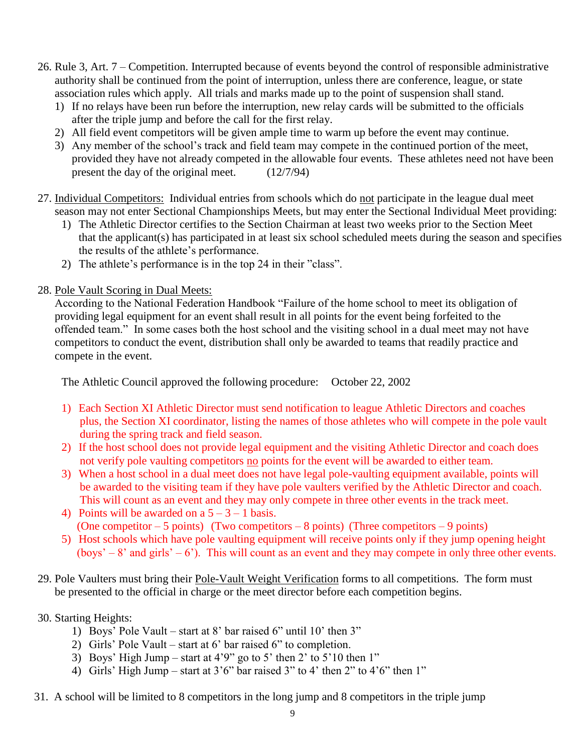- 26. Rule 3, Art. 7 Competition. Interrupted because of events beyond the control of responsible administrative authority shall be continued from the point of interruption, unless there are conference, league, or state association rules which apply. All trials and marks made up to the point of suspension shall stand.
	- 1) If no relays have been run before the interruption, new relay cards will be submitted to the officials after the triple jump and before the call for the first relay.
	- 2) All field event competitors will be given ample time to warm up before the event may continue.
	- 3) Any member of the school's track and field team may compete in the continued portion of the meet, provided they have not already competed in the allowable four events. These athletes need not have been present the day of the original meet. (12/7/94)
- 27. Individual Competitors: Individual entries from schools which do not participate in the league dual meet season may not enter Sectional Championships Meets, but may enter the Sectional Individual Meet providing:
	- 1) The Athletic Director certifies to the Section Chairman at least two weeks prior to the Section Meet that the applicant(s) has participated in at least six school scheduled meets during the season and specifies the results of the athlete's performance.
	- 2) The athlete's performance is in the top 24 in their "class".
- 28. Pole Vault Scoring in Dual Meets:

According to the National Federation Handbook "Failure of the home school to meet its obligation of providing legal equipment for an event shall result in all points for the event being forfeited to the offended team." In some cases both the host school and the visiting school in a dual meet may not have competitors to conduct the event, distribution shall only be awarded to teams that readily practice and compete in the event.

The Athletic Council approved the following procedure: October 22, 2002

- 1) Each Section XI Athletic Director must send notification to league Athletic Directors and coaches plus, the Section XI coordinator, listing the names of those athletes who will compete in the pole vault during the spring track and field season.
- 2) If the host school does not provide legal equipment and the visiting Athletic Director and coach does not verify pole vaulting competitors no points for the event will be awarded to either team.
- 3) When a host school in a dual meet does not have legal pole-vaulting equipment available, points will be awarded to the visiting team if they have pole vaulters verified by the Athletic Director and coach. This will count as an event and they may only compete in three other events in the track meet.
- 4) Points will be awarded on a  $5 3 1$  basis. (One competitor  $-5$  points) (Two competitors  $-8$  points) (Three competitors  $-9$  points)
- 5) Host schools which have pole vaulting equipment will receive points only if they jump opening height (boys' – 8' and girls' – 6'). This will count as an event and they may compete in only three other events.
- 29. Pole Vaulters must bring their Pole-Vault Weight Verification forms to all competitions. The form must be presented to the official in charge or the meet director before each competition begins.
- 30. Starting Heights:
	- 1) Boys' Pole Vault start at 8' bar raised 6" until 10' then 3"
	- 2) Girls' Pole Vault start at 6' bar raised 6" to completion.
	- 3) Boys' High Jump start at  $4'9''$  go to  $5'$  then  $2'$  to  $5'10$  then  $1''$
	- 4) Girls' High Jump start at 3'6" bar raised 3" to 4' then 2" to 4'6" then 1"
- 31. A school will be limited to 8 competitors in the long jump and 8 competitors in the triple jump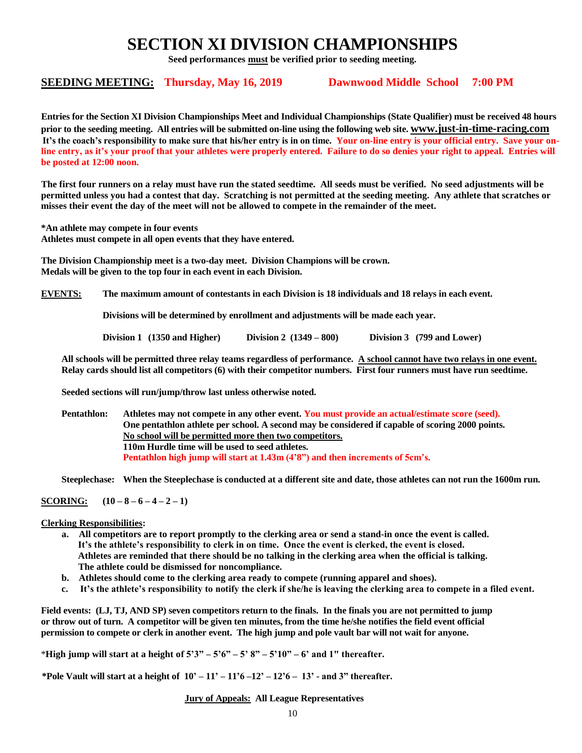# **SECTION XI DIVISION CHAMPIONSHIPS**

**Seed performances must be verified prior to seeding meeting.** 

### **SEEDING MEETING: Thursday, May 16, 2019 Dawnwood Middle School 7:00 PM**

**Entries for the Section XI Division Championships Meet and Individual Championships (State Qualifier) must be received 48 hours prior to the seeding meeting. All entries will be submitted on-line using the following web site. [www.just-in-time-racing.com](http://www.just-in-time-racing.com/)** It's the coach's responsibility to make sure that his/her entry is in on time. Your on-line entry is your official entry. Save your on**line entry, as it's your proof that your athletes were properly entered. Failure to do so denies your right to appeal. Entries will be posted at 12:00 noon.**

**The first four runners on a relay must have run the stated seedtime. All seeds must be verified. No seed adjustments will be permitted unless you had a contest that day. Scratching is not permitted at the seeding meeting. Any athlete that scratches or misses their event the day of the meet will not be allowed to compete in the remainder of the meet.**

**\*An athlete may compete in four events**

**Athletes must compete in all open events that they have entered.**

**The Division Championship meet is a two-day meet. Division Champions will be crown. Medals will be given to the top four in each event in each Division.**

**EVENTS: The maximum amount of contestants in each Division is 18 individuals and 18 relays in each event.**

**Divisions will be determined by enrollment and adjustments will be made each year.**

**Division 1 (1350 and Higher) Division 2 (1349 – 800) Division 3 (799 and Lower)**

**All schools will be permitted three relay teams regardless of performance. A school cannot have two relays in one event. Relay cards should list all competitors (6) with their competitor numbers. First four runners must have run seedtime.**

**Seeded sections will run/jump/throw last unless otherwise noted.**

**Pentathlon: Athletes may not compete in any other event. You must provide an actual/estimate score (seed). One pentathlon athlete per school. A second may be considered if capable of scoring 2000 points. No school will be permitted more then two competitors. 110m Hurdle time will be used to seed athletes. Pentathlon high jump will start at 1.43m (4'8") and then increments of 5cm's.**

**Steeplechase: When the Steeplechase is conducted at a different site and date, those athletes can not run the 1600m run.**

**SCORING:**  $(10-8-6-4-2-1)$ 

#### **Clerking Responsibilities:**

- **a. All competitors are to report promptly to the clerking area or send a stand-in once the event is called. It's the athlete's responsibility to clerk in on time. Once the event is clerked, the event is closed. Athletes are reminded that there should be no talking in the clerking area when the official is talking. The athlete could be dismissed for noncompliance.**
- **b. Athletes should come to the clerking area ready to compete (running apparel and shoes).**
- **c. It's the athlete's responsibility to notify the clerk if she/he is leaving the clerking area to compete in a filed event.**

**Field events: (LJ, TJ, AND SP) seven competitors return to the finals. In the finals you are not permitted to jump or throw out of turn. A competitor will be given ten minutes, from the time he/she notifies the field event official permission to compete or clerk in another event. The high jump and pole vault bar will not wait for anyone.**

\***High jump will start at a height of 5'3" – 5'6" – 5' 8" – 5'10" – 6' and 1" thereafter.**

**\*Pole Vault will start at a height of 10' – 11' – 11'6 –12' – 12'6 – 13' - and 3" thereafter.** 

**Jury of Appeals: All League Representatives**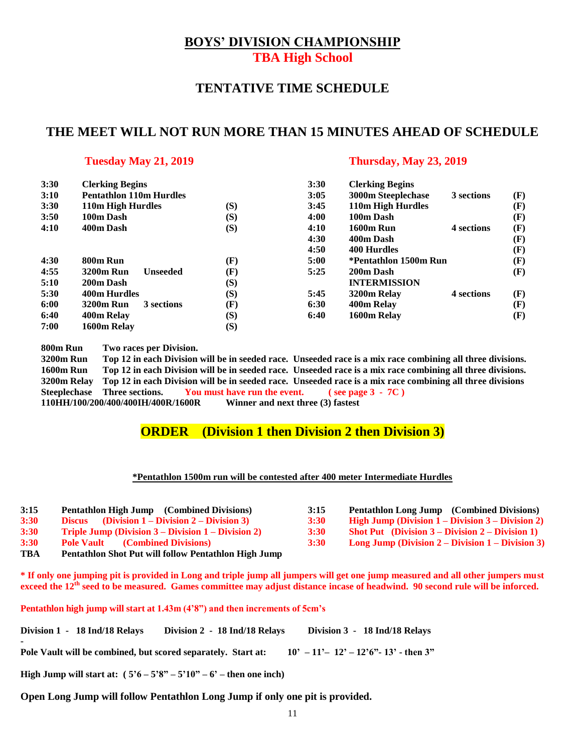## **BOYS' DIVISION CHAMPIONSHIP TBA High School**

## **TENTATIVE TIME SCHEDULE**

## **THE MEET WILL NOT RUN MORE THAN 15 MINUTES AHEAD OF SCHEDULE**

#### **Tuesday May 21, 2019 Thursday, May 23, 2019**

| 3:30 | <b>Clerking Begins</b>              |     | 3:30 | <b>Clerking Begins</b> |            |     |
|------|-------------------------------------|-----|------|------------------------|------------|-----|
| 3:10 | <b>Pentathlon 110m Hurdles</b>      |     | 3:05 | 3000m Steeplechase     | 3 sections | (F) |
| 3:30 | 110m High Hurdles                   | (S) | 3:45 | 110m High Hurdles      |            | (F) |
| 3:50 | 100m Dash                           | (S) | 4:00 | 100m Dash              |            | (F) |
| 4:10 | 400m Dash                           | (S) | 4:10 | <b>1600m Run</b>       | 4 sections | (F) |
|      |                                     |     | 4:30 | 400m Dash              |            | (F) |
|      |                                     |     | 4:50 | 400 Hurdles            |            | (F) |
| 4:30 | 800m Run                            | (F) | 5:00 | *Pentathlon 1500m Run  |            | (F) |
| 4:55 | <b>3200m Run</b><br><b>Unseeded</b> | (F) | 5:25 | 200m Dash              |            | (F) |
| 5:10 | 200m Dash                           | (S) |      | <b>INTERMISSION</b>    |            |     |
| 5:30 | 400m Hurdles                        | (S) | 5:45 | 3200m Relay            | 4 sections | (F) |
| 6:00 | <b>3200m Run</b><br>3 sections      | (F) | 6:30 | 400m Relay             |            | (F) |
| 6:40 | 400m Relay                          | (S) | 6:40 | 1600m Relay            |            | (F) |
| 7:00 | 1600m Relay                         | (S) |      |                        |            |     |

**800m Run Two races per Division.**

**3200m Run Top 12 in each Division will be in seeded race. Unseeded race is a mix race combining all three divisions. 1600m Run Top 12 in each Division will be in seeded race. Unseeded race is a mix race combining all three divisions. 3200m Relay Top 12 in each Division will be in seeded race. Unseeded race is a mix race combining all three divisions Steeplechase Three sections. You must have run the event. ( see page 3 - 7C ) 110HH/100/200/400/400IH/400R/1600R Winner and next three (3) fastest**

## **ORDER (Division 1 then Division 2 then Division 3)**

#### **\*Pentathlon 1500m run will be contested after 400 meter Intermediate Hurdles**

| 3:15 | <b>Pentathlon High Jump</b> (Combined Divisions)          | 3:15        | <b>Pentathlon Long Jump</b> (Combined Divisions)           |
|------|-----------------------------------------------------------|-------------|------------------------------------------------------------|
| 3:30 | Discus (Division $1 -$ Division $2 -$ Division 3)         | <b>3:30</b> | High Jump (Division $1 -$ Division $3 -$ Division 2)       |
| 3:30 | <b>Triple Jump (Division 3 – Division 1 – Division 2)</b> | <b>3:30</b> | <b>Shot Put</b> (Division $3 -$ Division $2 -$ Division 1) |
| 3:30 | <b>Pole Vault</b> (Combined Divisions)                    | <b>3:30</b> | Long Jump (Division $2 -$ Division $1 -$ Division 3)       |
| TBA  | Pentathlon Shot Put will follow Pentathlon High Jump      |             |                                                            |

**\* If only one jumping pit is provided in Long and triple jump all jumpers will get one jump measured and all other jumpers must exceed the 12th seed to be measured. Games committee may adjust distance incase of headwind. 90 second rule will be inforced.**

**Pentathlon high jump will start at 1.43m (4'8") and then increments of 5cm's**

**Division 1 - 18 Ind/18 Relays Division 2 - 18 Ind/18 Relays Division 3 - 18 Ind/18 Relays**

**- Pole Vault will be combined, but scored separately. Start at: 10' – 11'– 12' – 12'6"- 13' - then 3"**

**High Jump will start at: ( 5'6 – 5'8" – 5'10" – 6' – then one inch)**

**Open Long Jump will follow Pentathlon Long Jump if only one pit is provided.**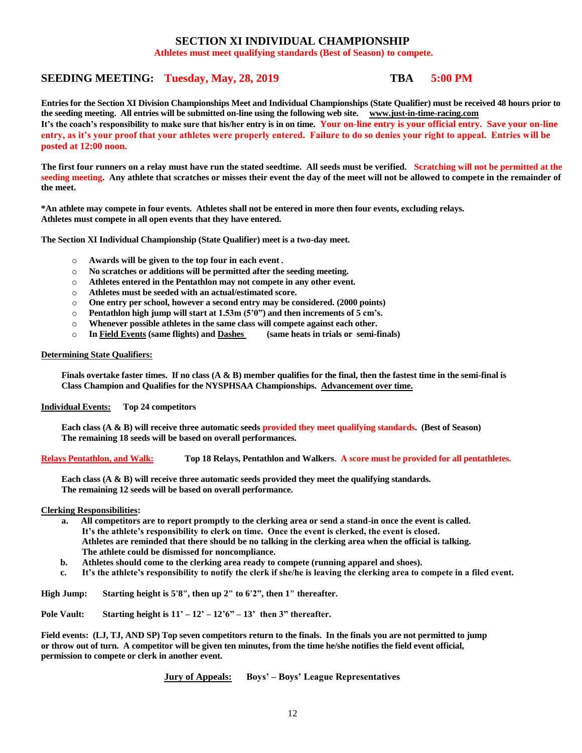#### **SECTION XI INDIVIDUAL CHAMPIONSHIP**

**Athletes must meet qualifying standards (Best of Season) to compete.**

#### **SEEDING MEETING: Tuesday, May, 28, 2019 TBA 5:00 PM**

**Entries for the Section XI Division Championships Meet and Individual Championships (State Qualifier) must be received 48 hours prior to the seeding meeting. All entries will be submitted on-line using the following web site. [www.just-in-time-racing.com](http://www.just-in-time-racing.com/) It's the coach's responsibility to make sure that his/her entry is in on time. Your on-line entry is your official entry. Save your on-line entry, as it's your proof that your athletes were properly entered. Failure to do so denies your right to appeal. Entries will be posted at 12:00 noon.**

**The first four runners on a relay must have run the stated seedtime. All seeds must be verified. Scratching will not be permitted at the seeding meeting. Any athlete that scratches or misses their event the day of the meet will not be allowed to compete in the remainder of the meet.**

**\*An athlete may compete in four events. Athletes shall not be entered in more then four events, excluding relays. Athletes must compete in all open events that they have entered.**

**The Section XI Individual Championship (State Qualifier) meet is a two-day meet.** 

- o **Awards will be given to the top four in each event.**
- o **No scratches or additions will be permitted after the seeding meeting.**
- o **Athletes entered in the Pentathlon may not compete in any other event.**
- o **Athletes must be seeded with an actual/estimated score.**
- o **One entry per school, however a second entry may be considered. (2000 points)**
- o **Pentathlon high jump will start at 1.53m (5'0") and then increments of 5 cm's.**
- o **Whenever possible athletes in the same class will compete against each other.**
- o **In Field Events (same flights) and Dashes (same heats in trials or semi-finals)**

#### **Determining State Qualifiers:**

**Finals overtake faster times. If no class (A & B) member qualifies for the final, then the fastest time in the semi-final is Class Champion and Qualifies for the NYSPHSAA Championships. Advancement over time.**

**Individual Events: Top 24 competitors**

**Each class (A & B) will receive three automatic seeds provided they meet qualifying standards. (Best of Season) The remaining 18 seeds will be based on overall performances.**

**Relays Pentathlon, and Walk: Top 18 Relays, Pentathlon and Walkers. A score must be provided for all pentathletes.**

**Each class (A & B) will receive three automatic seeds provided they meet the qualifying standards. The remaining 12 seeds will be based on overall performance.**

#### **Clerking Responsibilities:**

- **a. All competitors are to report promptly to the clerking area or send a stand-in once the event is called. It's the athlete's responsibility to clerk on time. Once the event is clerked, the event is closed. Athletes are reminded that there should be no talking in the clerking area when the official is talking. The athlete could be dismissed for noncompliance.**
- **b. Athletes should come to the clerking area ready to compete (running apparel and shoes).**
- **c. It's the athlete's responsibility to notify the clerk if she/he is leaving the clerking area to compete in a filed event.**

**High Jump: Starting height is 5'8", then up 2" to 6'2", then 1" thereafter.** 

**Pole Vault: Starting height is 11' – 12' – 12'6" – 13' then 3" thereafter.** 

 **Field events: (LJ, TJ, AND SP) Top seven competitors return to the finals. In the finals you are not permitted to jump or throw out of turn. A competitor will be given ten minutes, from the time he/she notifies the field event official, permission to compete or clerk in another event.**

 **Jury of Appeals: Boys' – Boys' League Representatives**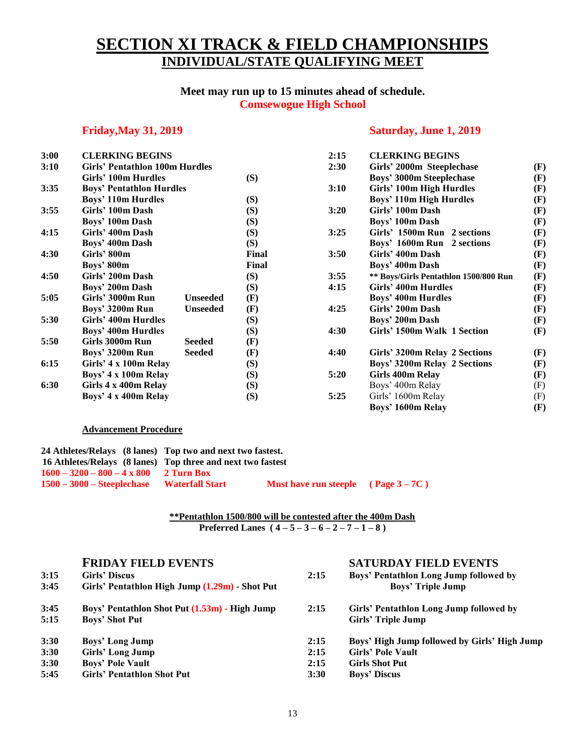## **SECTION XI TRACK & FIELD CHAMPIONSHIPS INDIVIDUAL/STATE QUALIFYING MEET**

### **Meet may run up to 15 minutes ahead of schedule. Comsewogue High School**

#### **Friday,May 31, 2019 Saturday, June 1, 2019**

| 3:00 | <b>CLERKING BEGINS</b>                |                 |       | 2:15 | <b>CLERKING BEGINS</b>                |     |
|------|---------------------------------------|-----------------|-------|------|---------------------------------------|-----|
| 3:10 | <b>Girls' Pentathlon 100m Hurdles</b> |                 |       | 2:30 | Girls' 2000m Steeplechase             | (F) |
|      | Girls' 100m Hurdles                   |                 | (S)   |      | <b>Boys' 3000m Steeplechase</b>       | (F) |
| 3:35 | <b>Boys' Pentathlon Hurdles</b>       |                 |       | 3:10 | Girls' 100m High Hurdles              | (F) |
|      | <b>Boys' 110m Hurdles</b>             |                 | (S)   |      | <b>Boys' 110m High Hurdles</b>        | (F) |
| 3:55 | Girls' 100m Dash                      |                 | (S)   | 3:20 | Girls' 100m Dash                      | (F) |
|      | Boys' 100m Dash                       |                 | (S)   |      | Boys' 100m Dash                       | (F) |
| 4:15 | Girls' 400m Dash                      |                 | (S)   | 3:25 | Girls' 1500m Run 2 sections           | (F) |
|      | Boys' 400m Dash                       |                 | (S)   |      | Boys' 1600m Run 2 sections            | (F) |
| 4:30 | Girls' 800m                           |                 | Final | 3:50 | Girls' 400m Dash                      | (F) |
|      | <b>Boys' 800m</b>                     |                 | Final |      | Boys' 400m Dash                       | (F) |
| 4:50 | Girls' 200m Dash                      |                 | (S)   | 3:55 | ** Boys/Girls Pentathlon 1500/800 Run | (F) |
|      | Boys' 200m Dash                       |                 | (S)   | 4:15 | Girls' 400m Hurdles                   | (F) |
| 5:05 | Girls' 3000m Run                      | <b>Unseeded</b> | (F)   |      | <b>Boys' 400m Hurdles</b>             | (F) |
|      | Boys' 3200m Run                       | <b>Unseeded</b> | (F)   | 4:25 | Girls' 200m Dash                      | (F) |
| 5:30 | Girls' 400m Hurdles                   |                 | (S)   |      | Boys' 200m Dash                       | (F) |
|      | <b>Boys' 400m Hurdles</b>             |                 | (S)   | 4:30 | Girls' 1500m Walk 1 Section           | (F) |
| 5:50 | Girls 3000m Run                       | <b>Seeded</b>   | (F)   |      |                                       |     |
|      | Boys' 3200m Run                       | <b>Seeded</b>   | (F)   | 4:40 | Girls' 3200m Relay 2 Sections         | (F) |
| 6:15 | Girls' 4 x 100m Relay                 |                 | (S)   |      | Boys' 3200m Relay 2 Sections          | (F) |
|      | Boys' 4 x 100m Relay                  |                 | (S)   | 5:20 | Girls 400m Relay                      | (F) |
| 6:30 | Girls 4 x 400m Relay                  |                 | (S)   |      | Boys' 400m Relay                      | (F) |
|      | Boys' 4 x 400m Relay                  |                 | (S)   | 5:25 | Girls' 1600m Relay                    | (F) |
|      |                                       |                 |       |      | Boys' 1600m Relay                     | (F) |

#### **Advancement Procedure**

| 24 Athletes/Relays (8 lanes) Top two and next two fastest.  |                                     |  |
|-------------------------------------------------------------|-------------------------------------|--|
| 16 Athletes/Relays (8 lanes) Top three and next two fastest |                                     |  |
| $1600 - 3200 - 800 - 4 \times 800$ 2 Turn Box               |                                     |  |
| 1500 – 3000 – Steeplechase Waterfall Start                  | Must have run steeple $(Page 3-7C)$ |  |

**\*\*Pentathlon 1500/800 will be contested after the 400m Dash Preferred Lanes ( 4 – 5 – 3 – 6 – 2 – 7 – 1 – 8 )**

#### **FRIDAY FIELD EVENTS SATURDAY FIELD EVENTS**

| 3:15 | Girls' Discus                                  | 2:15 | Boys' Pentathlon Long Jump followed by       |
|------|------------------------------------------------|------|----------------------------------------------|
| 3:45 | Girls' Pentathlon High Jump (1.29m) - Shot Put |      | <b>Boys' Triple Jump</b>                     |
| 3:45 | Boys' Pentathlon Shot Put (1.53m) - High Jump  | 2:15 | Girls' Pentathlon Long Jump followed by      |
| 5:15 | <b>Boys' Shot Put</b>                          |      | Girls' Triple Jump                           |
| 3:30 | <b>Boys' Long Jump</b>                         | 2:15 | Boys' High Jump followed by Girls' High Jump |
| 3:30 | Girls' Long Jump                               | 2:15 | <b>Girls' Pole Vault</b>                     |
| 3:30 | <b>Boys' Pole Vault</b>                        | 2:15 | <b>Girls Shot Put</b>                        |
| 5:45 | <b>Girls' Pentathlon Shot Put</b>              | 3:30 | <b>Boys' Discus</b>                          |